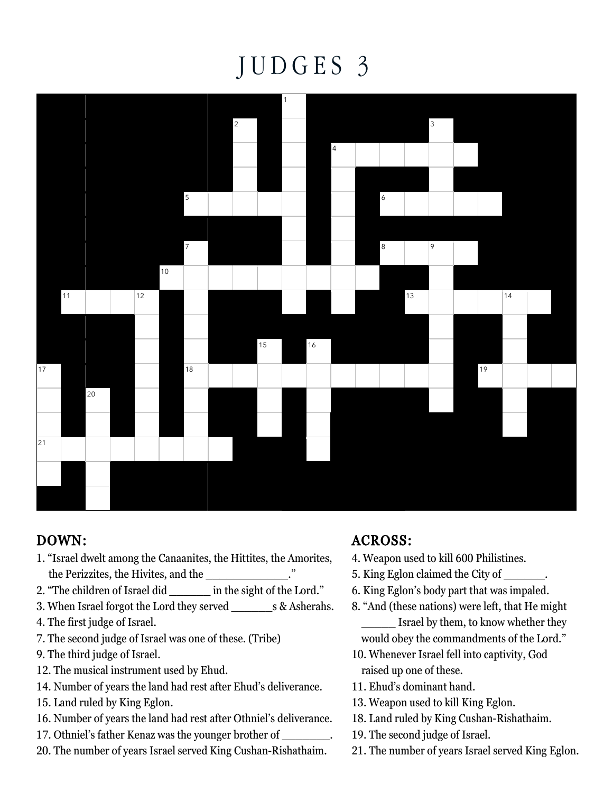## J U D G E S 3



## DOWN:

- 1. "Israel dwelt among the Canaanites, the Hittites, the Amorites, the Perizzites, the Hivites, and the \_\_\_\_\_\_\_\_\_\_\_\_."
- 2. "The children of Israel did in the sight of the Lord."
- 3. When Israel forgot the Lord they served \_\_\_\_\_\_s & Asherahs.
- 4. The first judge of Israel.
- 7. The second judge of Israel was one of these. (Tribe)
- 9. The third judge of Israel.
- 12. The musical instrument used by Ehud.
- 14. Number of years the land had rest after Ehud's deliverance.
- 15. Land ruled by King Eglon.
- 16. Number of years the land had rest after Othniel's deliverance.
- 17. Othniel's father Kenaz was the younger brother of \_\_\_\_\_\_\_.
- 20. The number of years Israel served King Cushan-Rishathaim.

## ACROSS:

- 4. Weapon used to kill 600 Philistines.
- 5. King Eglon claimed the City of \_\_\_\_\_\_.
- 6. King Eglon's body part that was impaled.
- 8. "And (these nations) were left, that He might **Israel by them, to know whether they**
- would obey the commandments of the Lord." 10. Whenever Israel fell into captivity, God raised up one of these.
- 11. Ehud's dominant hand.
- 13. Weapon used to kill King Eglon.
- 18. Land ruled by King Cushan-Rishathaim.
- 19. The second judge of Israel.
- 21. The number of years Israel served King Eglon.